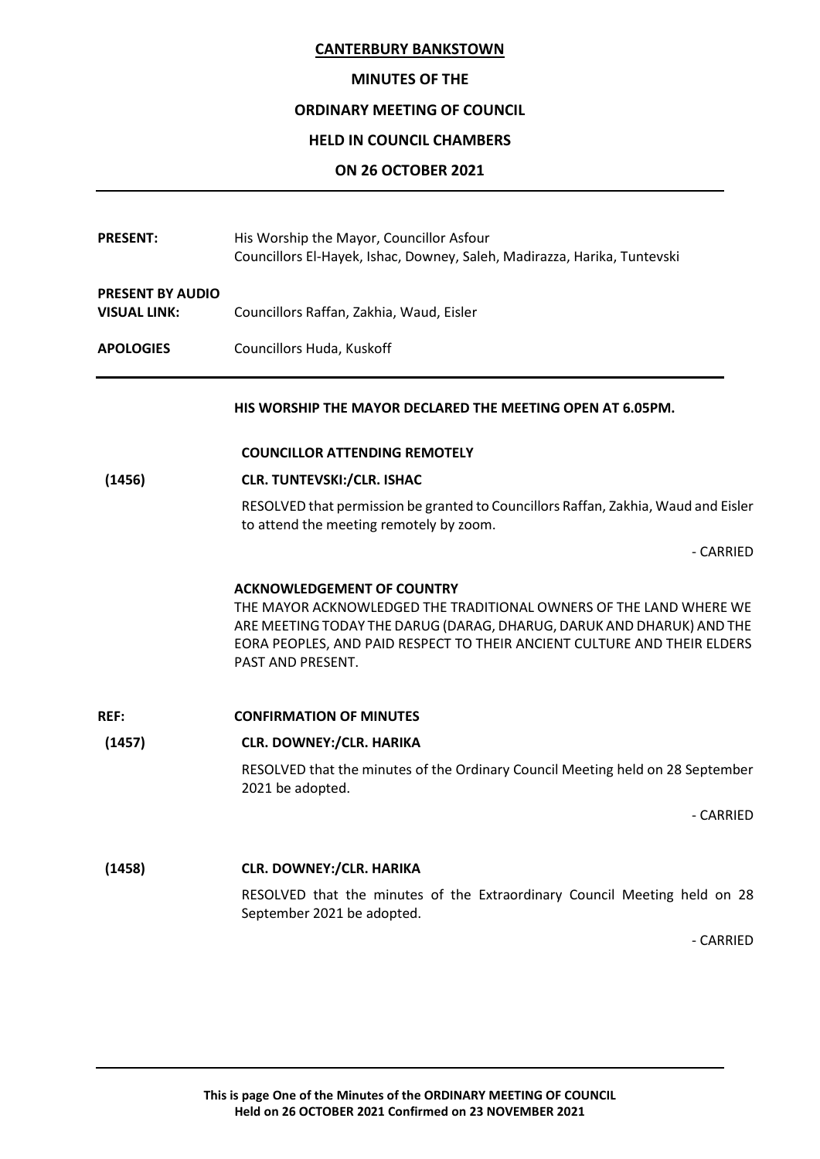# **MINUTES OF THE**

# **ORDINARY MEETING OF COUNCIL**

# **HELD IN COUNCIL CHAMBERS**

# **ON 26 OCTOBER 2021**

| <b>PRESENT:</b>                                | His Worship the Mayor, Councillor Asfour<br>Councillors El-Hayek, Ishac, Downey, Saleh, Madirazza, Harika, Tuntevski                                                                                                                                                              |
|------------------------------------------------|-----------------------------------------------------------------------------------------------------------------------------------------------------------------------------------------------------------------------------------------------------------------------------------|
| <b>PRESENT BY AUDIO</b><br><b>VISUAL LINK:</b> | Councillors Raffan, Zakhia, Waud, Eisler                                                                                                                                                                                                                                          |
| <b>APOLOGIES</b>                               | Councillors Huda, Kuskoff                                                                                                                                                                                                                                                         |
|                                                | HIS WORSHIP THE MAYOR DECLARED THE MEETING OPEN AT 6.05PM.                                                                                                                                                                                                                        |
|                                                | <b>COUNCILLOR ATTENDING REMOTELY</b>                                                                                                                                                                                                                                              |
| (1456)                                         | <b>CLR. TUNTEVSKI:/CLR. ISHAC</b>                                                                                                                                                                                                                                                 |
|                                                | RESOLVED that permission be granted to Councillors Raffan, Zakhia, Waud and Eisler<br>to attend the meeting remotely by zoom.                                                                                                                                                     |
|                                                | - CARRIED                                                                                                                                                                                                                                                                         |
|                                                | <b>ACKNOWLEDGEMENT OF COUNTRY</b><br>THE MAYOR ACKNOWLEDGED THE TRADITIONAL OWNERS OF THE LAND WHERE WE<br>ARE MEETING TODAY THE DARUG (DARAG, DHARUG, DARUK AND DHARUK) AND THE<br>EORA PEOPLES, AND PAID RESPECT TO THEIR ANCIENT CULTURE AND THEIR ELDERS<br>PAST AND PRESENT. |
| <b>REF:</b>                                    | <b>CONFIRMATION OF MINUTES</b>                                                                                                                                                                                                                                                    |
| (1457)                                         | <b>CLR. DOWNEY:/CLR. HARIKA</b>                                                                                                                                                                                                                                                   |
|                                                | RESOLVED that the minutes of the Ordinary Council Meeting held on 28 September<br>2021 be adopted.                                                                                                                                                                                |
|                                                | - CARRIED                                                                                                                                                                                                                                                                         |
| (1458)                                         | <b>CLR. DOWNEY:/CLR. HARIKA</b>                                                                                                                                                                                                                                                   |
|                                                | RESOLVED that the minutes of the Extraordinary Council Meeting held on 28<br>September 2021 be adopted.                                                                                                                                                                           |
|                                                | - CARRIED                                                                                                                                                                                                                                                                         |

**This is page One of the Minutes of the ORDINARY MEETING OF COUNCIL Held on 26 OCTOBER 2021 Confirmed on 23 NOVEMBER 2021**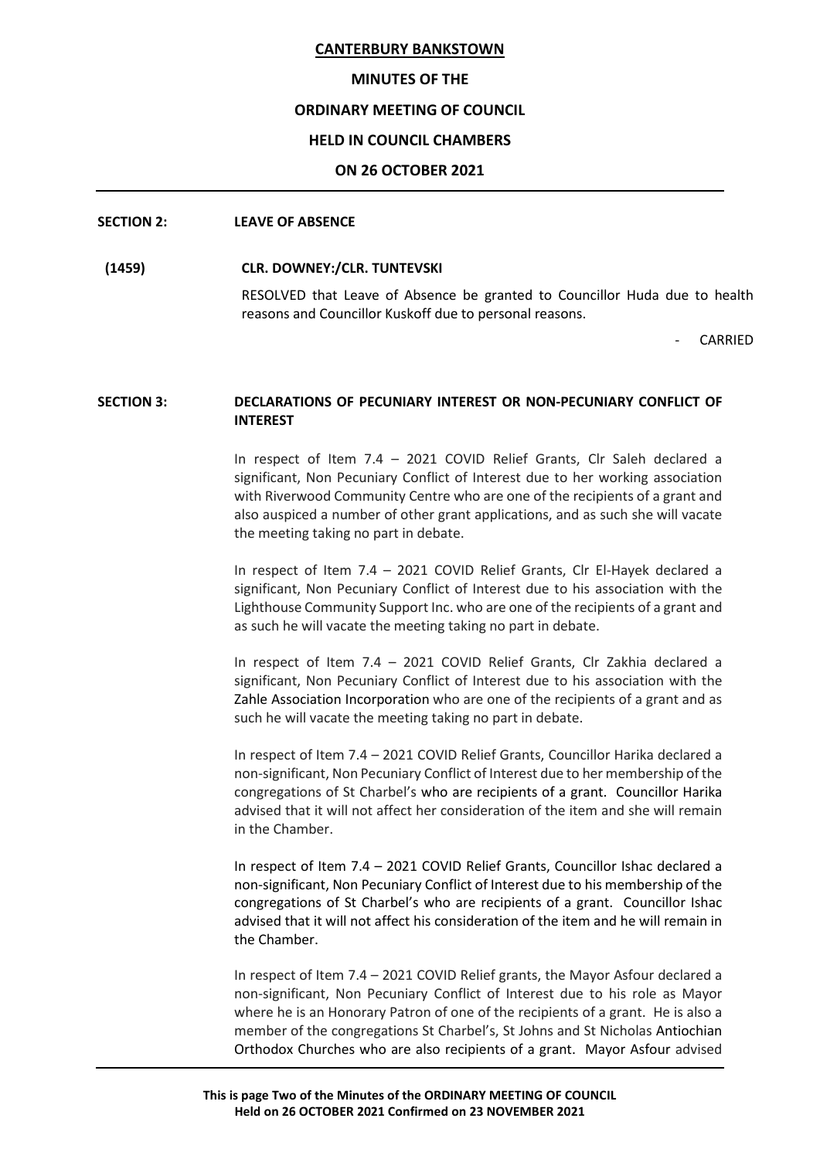#### **MINUTES OF THE**

#### **ORDINARY MEETING OF COUNCIL**

#### **HELD IN COUNCIL CHAMBERS**

#### **ON 26 OCTOBER 2021**

#### **SECTION 2: LEAVE OF ABSENCE**

#### **(1459) CLR. DOWNEY:/CLR. TUNTEVSKI**

RESOLVED that Leave of Absence be granted to Councillor Huda due to health reasons and Councillor Kuskoff due to personal reasons.

**CARRIED** 

# **SECTION 3: DECLARATIONS OF PECUNIARY INTEREST OR NON-PECUNIARY CONFLICT OF INTEREST**

In respect of Item 7.4 – 2021 COVID Relief Grants, Clr Saleh declared a significant, Non Pecuniary Conflict of Interest due to her working association with Riverwood Community Centre who are one of the recipients of a grant and also auspiced a number of other grant applications, and as such she will vacate the meeting taking no part in debate.

In respect of Item 7.4 – 2021 COVID Relief Grants, Clr El-Hayek declared a significant, Non Pecuniary Conflict of Interest due to his association with the Lighthouse Community Support Inc. who are one of the recipients of a grant and as such he will vacate the meeting taking no part in debate.

In respect of Item 7.4 – 2021 COVID Relief Grants, Clr Zakhia declared a significant, Non Pecuniary Conflict of Interest due to his association with the Zahle Association Incorporation who are one of the recipients of a grant and as such he will vacate the meeting taking no part in debate.

In respect of Item 7.4 – 2021 COVID Relief Grants, Councillor Harika declared a non-significant, Non Pecuniary Conflict of Interest due to her membership of the congregations of St Charbel's who are recipients of a grant. Councillor Harika advised that it will not affect her consideration of the item and she will remain in the Chamber.

In respect of Item 7.4 – 2021 COVID Relief Grants, Councillor Ishac declared a non-significant, Non Pecuniary Conflict of Interest due to his membership of the congregations of St Charbel's who are recipients of a grant. Councillor Ishac advised that it will not affect his consideration of the item and he will remain in the Chamber.

In respect of Item 7.4 – 2021 COVID Relief grants, the Mayor Asfour declared a non-significant, Non Pecuniary Conflict of Interest due to his role as Mayor where he is an Honorary Patron of one of the recipients of a grant. He is also a member of the congregations St Charbel's, St Johns and St Nicholas Antiochian Orthodox Churches who are also recipients of a grant. Mayor Asfour advised

**This is page Two of the Minutes of the ORDINARY MEETING OF COUNCIL Held on 26 OCTOBER 2021 Confirmed on 23 NOVEMBER 2021**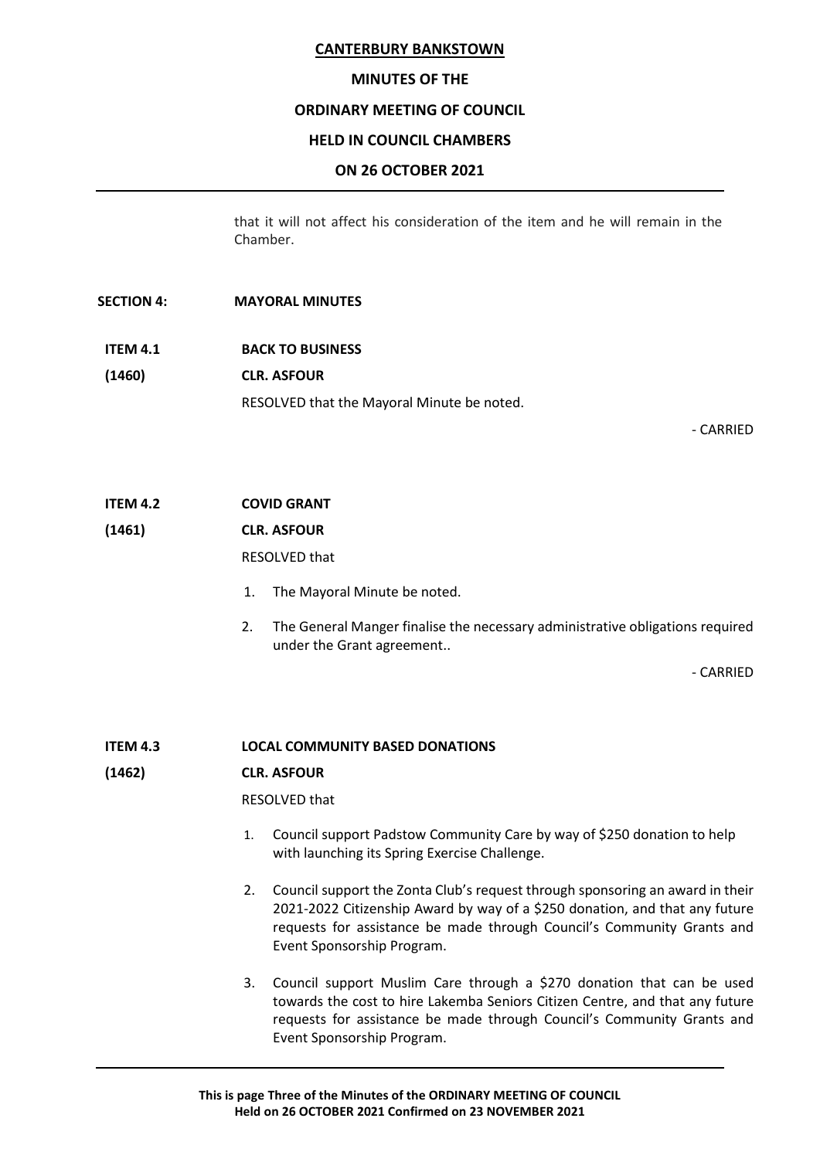#### **MINUTES OF THE**

#### **ORDINARY MEETING OF COUNCIL**

#### **HELD IN COUNCIL CHAMBERS**

#### **ON 26 OCTOBER 2021**

that it will not affect his consideration of the item and he will remain in the Chamber.

#### **SECTION 4: MAYORAL MINUTES**

**ITEM 4.1 BACK TO BUSINESS (1460) CLR. ASFOUR** RESOLVED that the Mayoral Minute be noted.

- CARRIED

**ITEM 4.2 COVID GRANT**

**(1461) CLR. ASFOUR**

RESOLVED that

- 1. The Mayoral Minute be noted.
- 2. The General Manger finalise the necessary administrative obligations required under the Grant agreement..

- CARRIED

**ITEM 4.3 LOCAL COMMUNITY BASED DONATIONS**

#### **(1462) CLR. ASFOUR**

RESOLVED that

- 1. Council support Padstow Community Care by way of \$250 donation to help with launching its Spring Exercise Challenge.
- 2. Council support the Zonta Club's request through sponsoring an award in their 2021-2022 Citizenship Award by way of a \$250 donation, and that any future requests for assistance be made through Council's Community Grants and Event Sponsorship Program.
- 3. Council support Muslim Care through a \$270 donation that can be used towards the cost to hire Lakemba Seniors Citizen Centre, and that any future requests for assistance be made through Council's Community Grants and Event Sponsorship Program.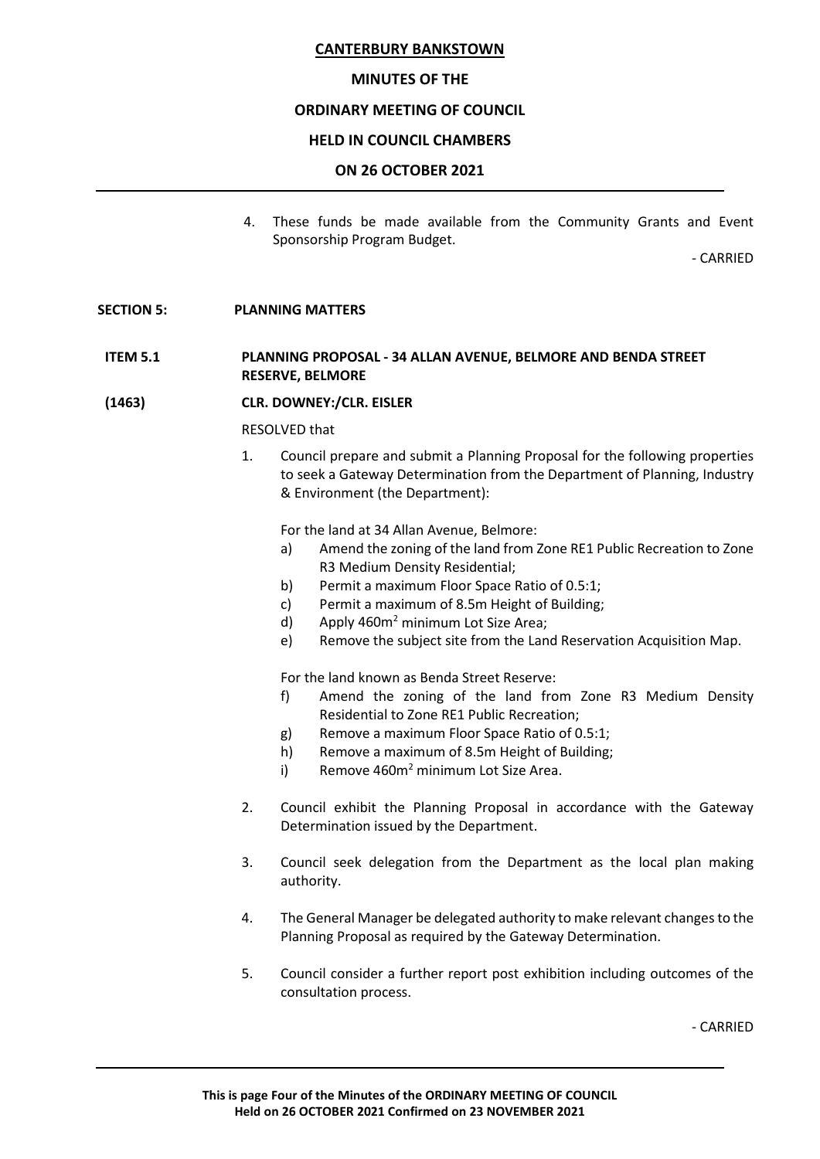# **MINUTES OF THE**

# **ORDINARY MEETING OF COUNCIL**

# **HELD IN COUNCIL CHAMBERS**

# **ON 26 OCTOBER 2021**

4. These funds be made available from the Community Grants and Event Sponsorship Program Budget.

- CARRIED

#### **SECTION 5: PLANNING MATTERS**

# **ITEM 5.1 PLANNING PROPOSAL - 34 ALLAN AVENUE, BELMORE AND BENDA STREET RESERVE, BELMORE**

**(1463) CLR. DOWNEY:/CLR. EISLER**

#### RESOLVED that

1. Council prepare and submit a Planning Proposal for the following properties to seek a Gateway Determination from the Department of Planning, Industry & Environment (the Department):

For the land at 34 Allan Avenue, Belmore:

- a) Amend the zoning of the land from Zone RE1 Public Recreation to Zone R3 Medium Density Residential;
- b) Permit a maximum Floor Space Ratio of 0.5:1;
- c) Permit a maximum of 8.5m Height of Building;
- d) Apply  $460m^2$  minimum Lot Size Area;
- e) Remove the subject site from the Land Reservation Acquisition Map.

For the land known as Benda Street Reserve:

- f) Amend the zoning of the land from Zone R3 Medium Density Residential to Zone RE1 Public Recreation;
- g) Remove a maximum Floor Space Ratio of 0.5:1;
- h) Remove a maximum of 8.5m Height of Building;
- i) Remove  $460m^2$  minimum Lot Size Area.
- 2. Council exhibit the Planning Proposal in accordance with the Gateway Determination issued by the Department.
- 3. Council seek delegation from the Department as the local plan making authority.
- 4. The General Manager be delegated authority to make relevant changes to the Planning Proposal as required by the Gateway Determination.
- 5. Council consider a further report post exhibition including outcomes of the consultation process.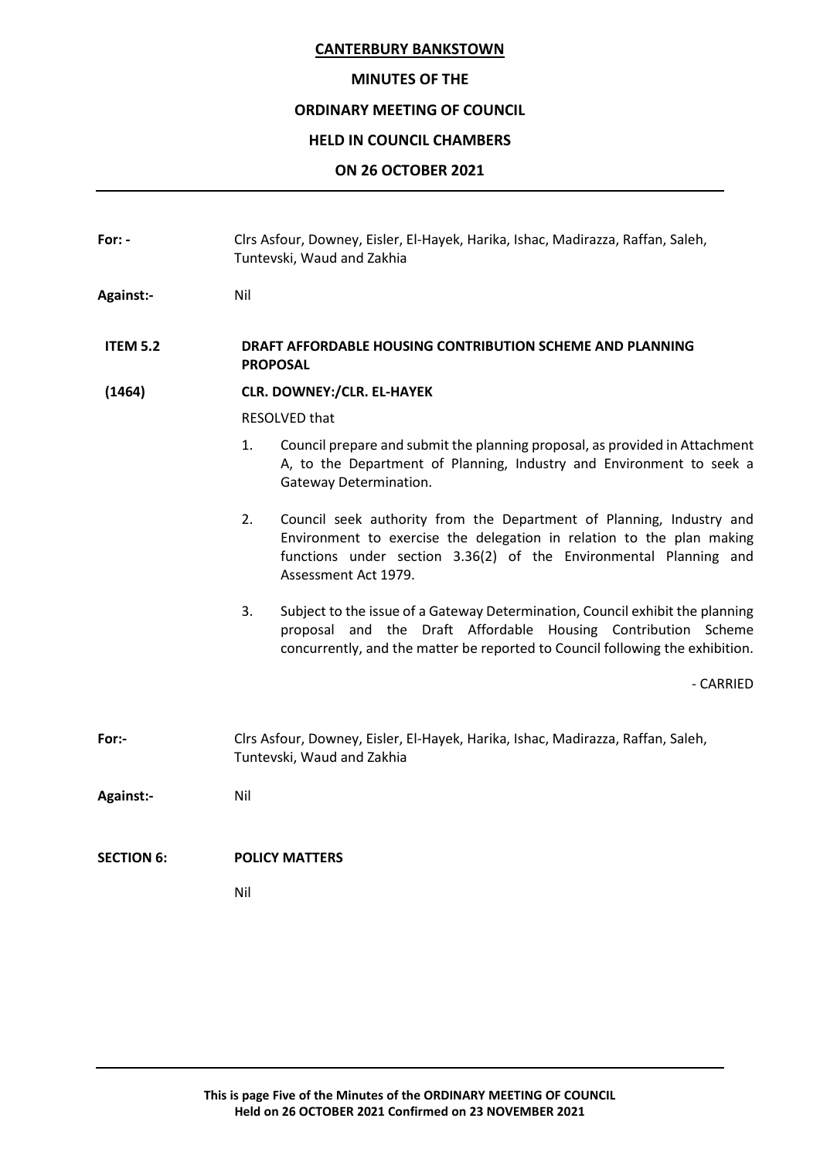#### **MINUTES OF THE**

# **ORDINARY MEETING OF COUNCIL**

# **HELD IN COUNCIL CHAMBERS**

# **ON 26 OCTOBER 2021**

| For: -            | Clrs Asfour, Downey, Eisler, El-Hayek, Harika, Ishac, Madirazza, Raffan, Saleh,<br>Tuntevski, Waud and Zakhia                                                                                                                                    |  |  |
|-------------------|--------------------------------------------------------------------------------------------------------------------------------------------------------------------------------------------------------------------------------------------------|--|--|
| <b>Against:-</b>  | Nil                                                                                                                                                                                                                                              |  |  |
| <b>ITEM 5.2</b>   | DRAFT AFFORDABLE HOUSING CONTRIBUTION SCHEME AND PLANNING<br><b>PROPOSAL</b>                                                                                                                                                                     |  |  |
| (1464)            | <b>CLR. DOWNEY:/CLR. EL-HAYEK</b>                                                                                                                                                                                                                |  |  |
|                   | RESOLVED that                                                                                                                                                                                                                                    |  |  |
|                   | 1.<br>Council prepare and submit the planning proposal, as provided in Attachment<br>A, to the Department of Planning, Industry and Environment to seek a<br>Gateway Determination.                                                              |  |  |
|                   | 2.<br>Council seek authority from the Department of Planning, Industry and<br>Environment to exercise the delegation in relation to the plan making<br>functions under section 3.36(2) of the Environmental Planning and<br>Assessment Act 1979. |  |  |
|                   | Subject to the issue of a Gateway Determination, Council exhibit the planning<br>3.<br>proposal and the Draft Affordable Housing Contribution Scheme<br>concurrently, and the matter be reported to Council following the exhibition.            |  |  |
|                   | - CARRIED                                                                                                                                                                                                                                        |  |  |
| For:-             | Clrs Asfour, Downey, Eisler, El-Hayek, Harika, Ishac, Madirazza, Raffan, Saleh,<br>Tuntevski, Waud and Zakhia                                                                                                                                    |  |  |
| <b>Against:-</b>  | Nil                                                                                                                                                                                                                                              |  |  |
| <b>SECTION 6:</b> | <b>POLICY MATTERS</b>                                                                                                                                                                                                                            |  |  |
|                   | Nil                                                                                                                                                                                                                                              |  |  |
|                   |                                                                                                                                                                                                                                                  |  |  |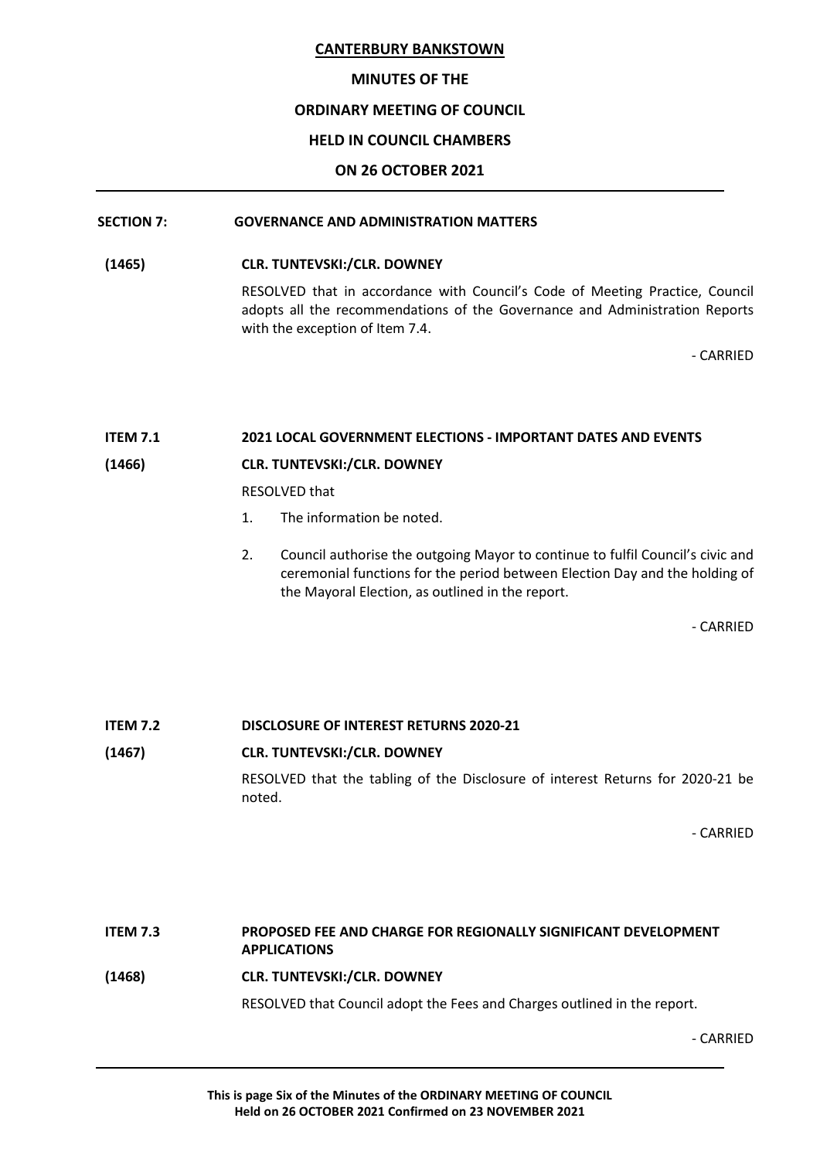# **MINUTES OF THE**

# **ORDINARY MEETING OF COUNCIL**

# **HELD IN COUNCIL CHAMBERS**

# **ON 26 OCTOBER 2021**

# **SECTION 7: GOVERNANCE AND ADMINISTRATION MATTERS**

# **(1465) CLR. TUNTEVSKI:/CLR. DOWNEY**

RESOLVED that in accordance with Council's Code of Meeting Practice, Council adopts all the recommendations of the Governance and Administration Reports with the exception of Item 7.4.

- CARRIED

# **ITEM 7.1 2021 LOCAL GOVERNMENT ELECTIONS - IMPORTANT DATES AND EVENTS**

# **(1466) CLR. TUNTEVSKI:/CLR. DOWNEY**

RESOLVED that

- 1. The information be noted.
- 2. Council authorise the outgoing Mayor to continue to fulfil Council's civic and ceremonial functions for the period between Election Day and the holding of the Mayoral Election, as outlined in the report.

- CARRIED

**ITEM 7.2 DISCLOSURE OF INTEREST RETURNS 2020-21**

#### **(1467) CLR. TUNTEVSKI:/CLR. DOWNEY**

RESOLVED that the tabling of the Disclosure of interest Returns for 2020-21 be noted.

- CARRIED

# **ITEM 7.3 PROPOSED FEE AND CHARGE FOR REGIONALLY SIGNIFICANT DEVELOPMENT APPLICATIONS (1468) CLR. TUNTEVSKI:/CLR. DOWNEY** RESOLVED that Council adopt the Fees and Charges outlined in the report.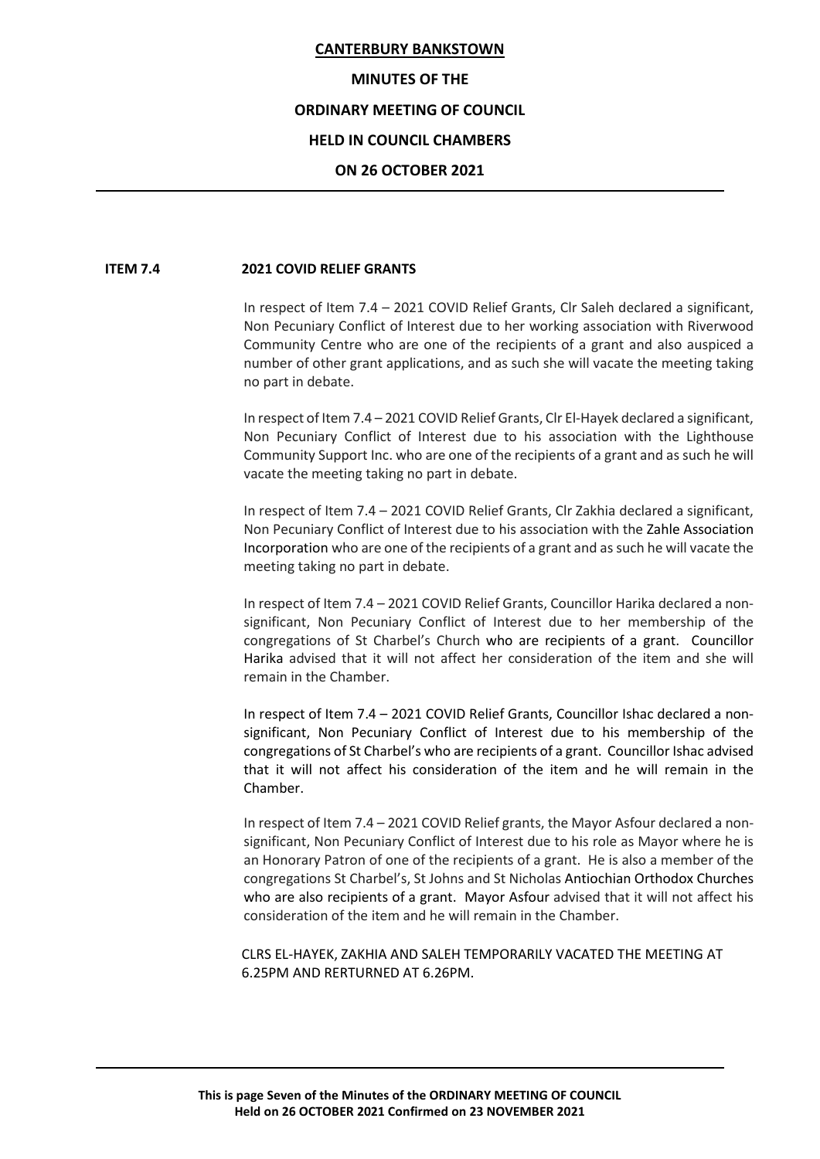#### **MINUTES OF THE**

# **ORDINARY MEETING OF COUNCIL**

# **HELD IN COUNCIL CHAMBERS**

#### **ON 26 OCTOBER 2021**

#### **ITEM 7.4 2021 COVID RELIEF GRANTS**

In respect of Item 7.4 – 2021 COVID Relief Grants, Clr Saleh declared a significant, Non Pecuniary Conflict of Interest due to her working association with Riverwood Community Centre who are one of the recipients of a grant and also auspiced a number of other grant applications, and as such she will vacate the meeting taking no part in debate.

In respect of Item 7.4 – 2021 COVID Relief Grants, Clr El-Hayek declared a significant, Non Pecuniary Conflict of Interest due to his association with the Lighthouse Community Support Inc. who are one of the recipients of a grant and as such he will vacate the meeting taking no part in debate.

In respect of Item 7.4 – 2021 COVID Relief Grants, Clr Zakhia declared a significant, Non Pecuniary Conflict of Interest due to his association with the Zahle Association Incorporation who are one of the recipients of a grant and as such he will vacate the meeting taking no part in debate.

In respect of Item 7.4 – 2021 COVID Relief Grants, Councillor Harika declared a nonsignificant, Non Pecuniary Conflict of Interest due to her membership of the congregations of St Charbel's Church who are recipients of a grant. Councillor Harika advised that it will not affect her consideration of the item and she will remain in the Chamber.

In respect of Item 7.4 – 2021 COVID Relief Grants, Councillor Ishac declared a nonsignificant, Non Pecuniary Conflict of Interest due to his membership of the congregations of St Charbel's who are recipients of a grant. Councillor Ishac advised that it will not affect his consideration of the item and he will remain in the Chamber.

In respect of Item 7.4 – 2021 COVID Relief grants, the Mayor Asfour declared a nonsignificant, Non Pecuniary Conflict of Interest due to his role as Mayor where he is an Honorary Patron of one of the recipients of a grant. He is also a member of the congregations St Charbel's, St Johns and St Nicholas Antiochian Orthodox Churches who are also recipients of a grant. Mayor Asfour advised that it will not affect his consideration of the item and he will remain in the Chamber.

CLRS EL-HAYEK, ZAKHIA AND SALEH TEMPORARILY VACATED THE MEETING AT 6.25PM AND RERTURNED AT 6.26PM.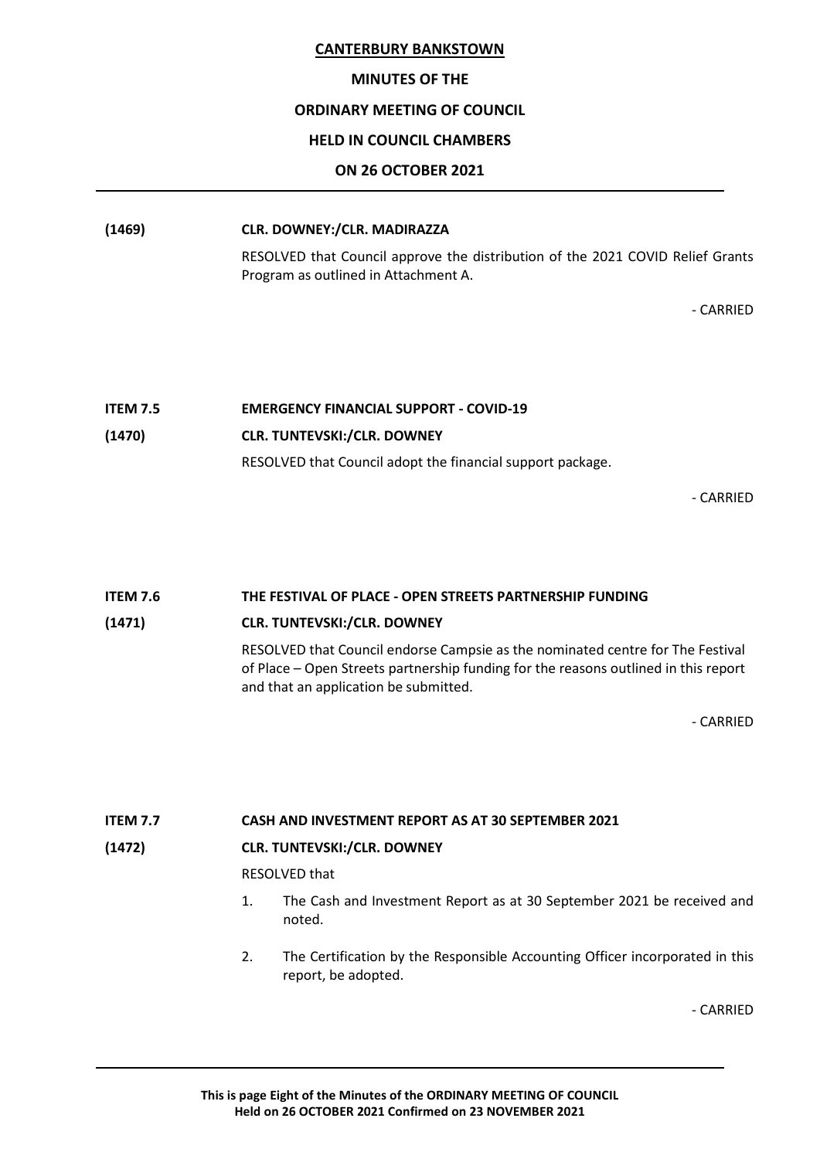#### **MINUTES OF THE**

#### **ORDINARY MEETING OF COUNCIL**

#### **HELD IN COUNCIL CHAMBERS**

#### **ON 26 OCTOBER 2021**

# **(1469) CLR. DOWNEY:/CLR. MADIRAZZA**

RESOLVED that Council approve the distribution of the 2021 COVID Relief Grants Program as outlined in Attachment A.

- CARRIED

# **ITEM 7.5 EMERGENCY FINANCIAL SUPPORT - COVID-19 (1470) CLR. TUNTEVSKI:/CLR. DOWNEY** RESOLVED that Council adopt the financial support package.

- CARRIED

# **ITEM 7.6 THE FESTIVAL OF PLACE - OPEN STREETS PARTNERSHIP FUNDING**

#### **(1471) CLR. TUNTEVSKI:/CLR. DOWNEY**

RESOLVED that Council endorse Campsie as the nominated centre for The Festival of Place – Open Streets partnership funding for the reasons outlined in this report and that an application be submitted.

- CARRIED

# **ITEM 7.7 CASH AND INVESTMENT REPORT AS AT 30 SEPTEMBER 2021**

#### **(1472) CLR. TUNTEVSKI:/CLR. DOWNEY**

RESOLVED that

- 1. The Cash and Investment Report as at 30 September 2021 be received and noted.
- 2. The Certification by the Responsible Accounting Officer incorporated in this report, be adopted.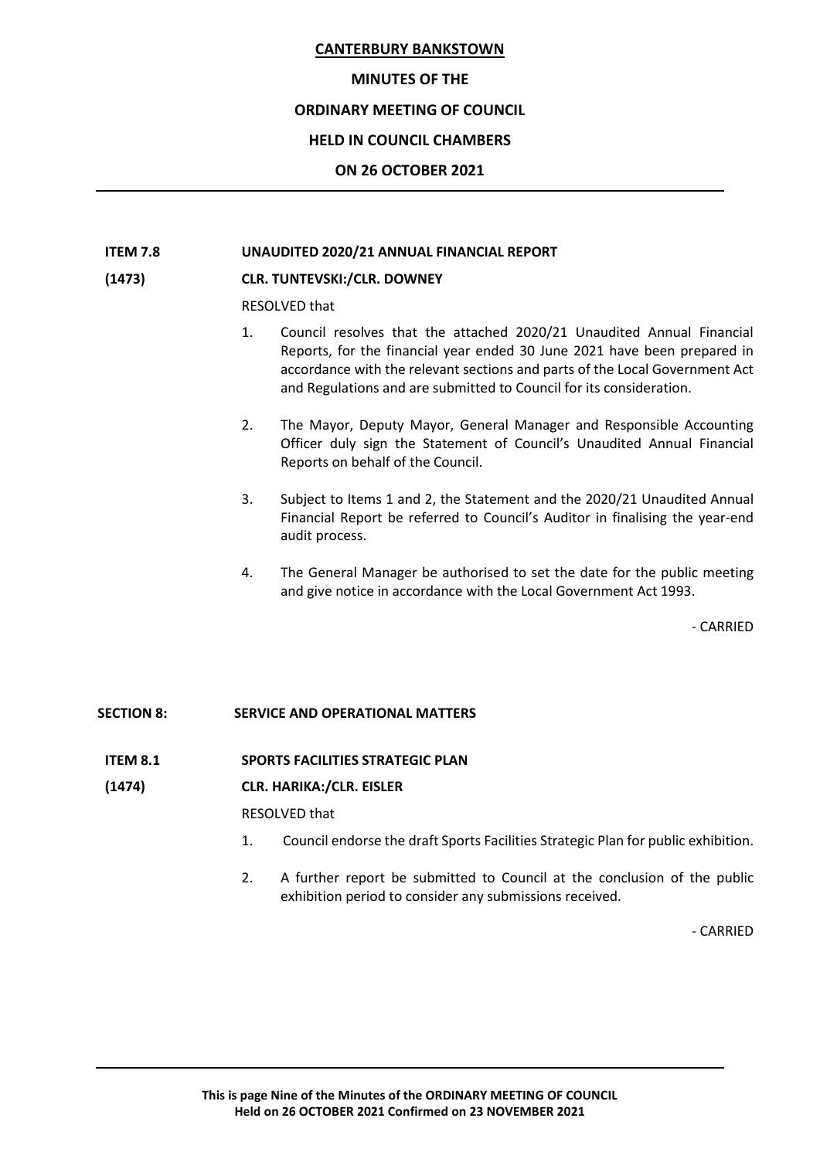#### **MINUTES OF THE**

# **ORDINARY MEETING OF COUNCIL**

# **HELD IN COUNCIL CHAMBERS**

# **ON 26 OCTOBER 2021**

# **ITEM 7.8 UNAUDITED 2020/21 ANNUAL FINANCIAL REPORT**

#### **(1473) CLR. TUNTEVSKI:/CLR. DOWNEY**

RESOLVED that

- 1. Council resolves that the attached 2020/21 Unaudited Annual Financial Reports, for the financial year ended 30 June 2021 have been prepared in accordance with the relevant sections and parts of the Local Government Act and Regulations and are submitted to Council for its consideration.
- 2. The Mayor, Deputy Mayor, General Manager and Responsible Accounting Officer duly sign the Statement of Council's Unaudited Annual Financial Reports on behalf of the Council.
- 3. Subject to Items 1 and 2, the Statement and the 2020/21 Unaudited Annual Financial Report be referred to Council's Auditor in finalising the year-end audit process.
- 4. The General Manager be authorised to set the date for the public meeting and give notice in accordance with the Local Government Act 1993.

- CARRIED

# **SECTION 8: SERVICE AND OPERATIONAL MATTERS**

# **ITEM 8.1 SPORTS FACILITIES STRATEGIC PLAN**

# **(1474) CLR. HARIKA:/CLR. EISLER**

RESOLVED that

- 1. Council endorse the draft Sports Facilities Strategic Plan for public exhibition.
- 2. A further report be submitted to Council at the conclusion of the public exhibition period to consider any submissions received.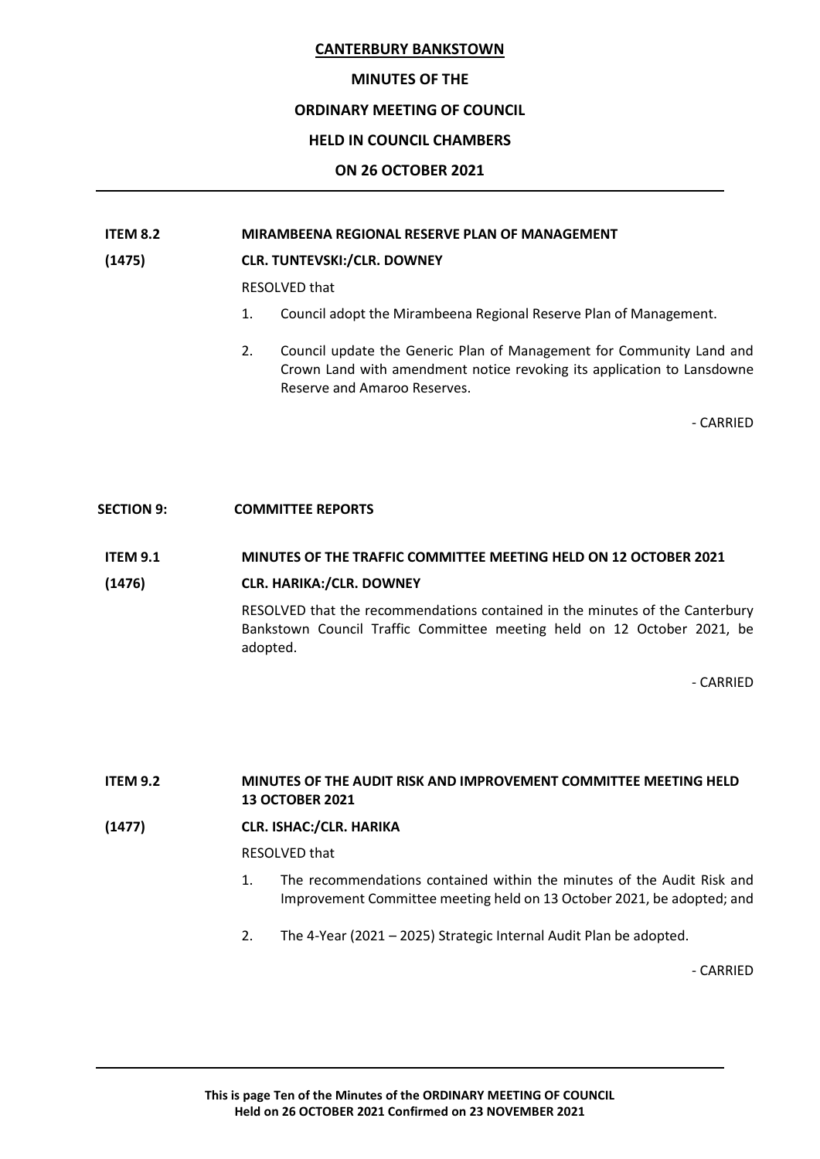#### **MINUTES OF THE**

#### **ORDINARY MEETING OF COUNCIL**

# **HELD IN COUNCIL CHAMBERS**

# **ON 26 OCTOBER 2021**

## **ITEM 8.2 MIRAMBEENA REGIONAL RESERVE PLAN OF MANAGEMENT**

#### **(1475) CLR. TUNTEVSKI:/CLR. DOWNEY**

RESOLVED that

- 1. Council adopt the Mirambeena Regional Reserve Plan of Management.
- 2. Council update the Generic Plan of Management for Community Land and Crown Land with amendment notice revoking its application to Lansdowne Reserve and Amaroo Reserves.

- CARRIED

#### **SECTION 9: COMMITTEE REPORTS**

#### **ITEM 9.1 MINUTES OF THE TRAFFIC COMMITTEE MEETING HELD ON 12 OCTOBER 2021**

#### **(1476) CLR. HARIKA:/CLR. DOWNEY**

RESOLVED that the recommendations contained in the minutes of the Canterbury Bankstown Council Traffic Committee meeting held on 12 October 2021, be adopted.

- CARRIED

**ITEM 9.2 MINUTES OF THE AUDIT RISK AND IMPROVEMENT COMMITTEE MEETING HELD 13 OCTOBER 2021**

**(1477) CLR. ISHAC:/CLR. HARIKA**

RESOLVED that

- 1. The recommendations contained within the minutes of the Audit Risk and Improvement Committee meeting held on 13 October 2021, be adopted; and
- 2. The 4-Year (2021 2025) Strategic Internal Audit Plan be adopted.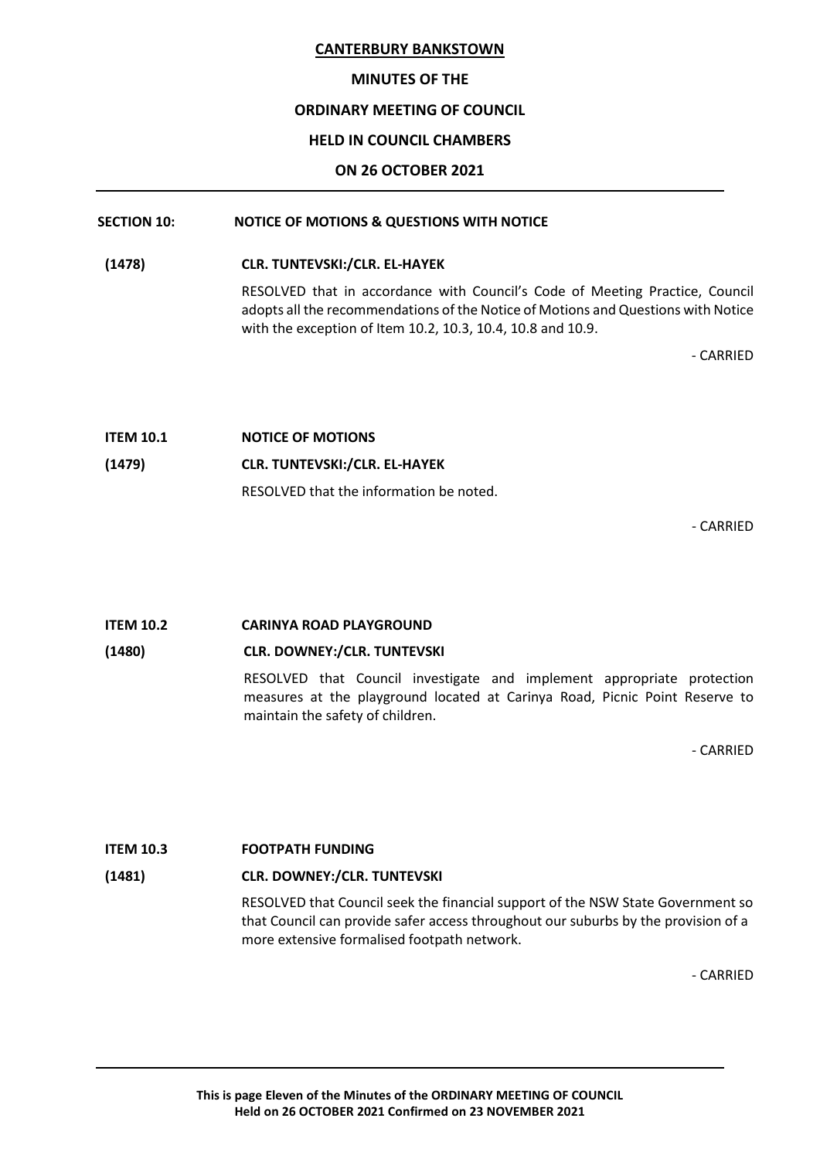#### **MINUTES OF THE**

# **ORDINARY MEETING OF COUNCIL**

# **HELD IN COUNCIL CHAMBERS**

# **ON 26 OCTOBER 2021**

# **SECTION 10: NOTICE OF MOTIONS & QUESTIONS WITH NOTICE**

**(1478) CLR. TUNTEVSKI:/CLR. EL-HAYEK**

RESOLVED that in accordance with Council's Code of Meeting Practice, Council adopts all the recommendations of the Notice of Motions and Questions with Notice with the exception of Item 10.2, 10.3, 10.4, 10.8 and 10.9.

- CARRIED

| <b>ITEM 10.1</b> | <b>NOTICE OF MOTIONS</b>                |
|------------------|-----------------------------------------|
| (1479)           | <b>CLR. TUNTEVSKI:/CLR. EL-HAYEK</b>    |
|                  | RESOLVED that the information be noted. |

- CARRIED

#### **ITEM 10.2 CARINYA ROAD PLAYGROUND**

# **(1480) CLR. DOWNEY:/CLR. TUNTEVSKI**

RESOLVED that Council investigate and implement appropriate protection measures at the playground located at Carinya Road, Picnic Point Reserve to maintain the safety of children.

- CARRIED

#### **ITEM 10.3 FOOTPATH FUNDING**

# **(1481) CLR. DOWNEY:/CLR. TUNTEVSKI**

RESOLVED that Council seek the financial support of the NSW State Government so that Council can provide safer access throughout our suburbs by the provision of a more extensive formalised footpath network.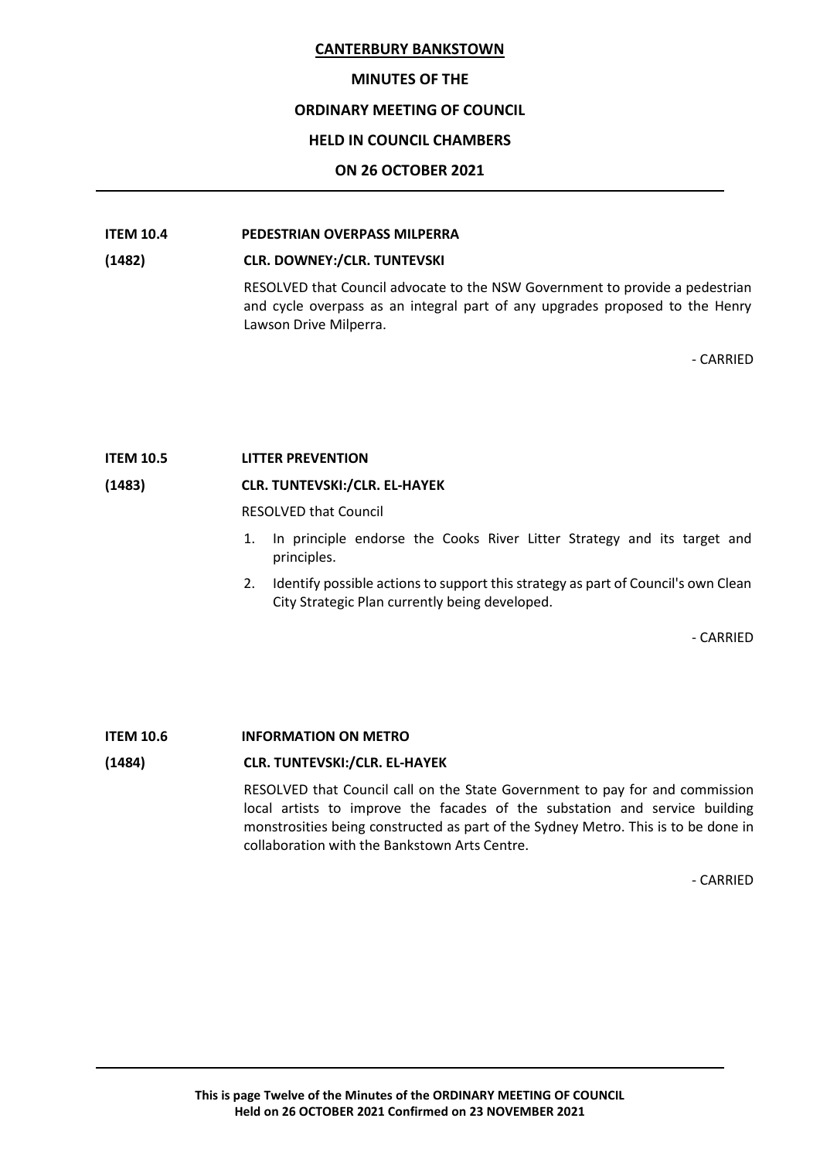#### **MINUTES OF THE**

#### **ORDINARY MEETING OF COUNCIL**

### **HELD IN COUNCIL CHAMBERS**

# **ON 26 OCTOBER 2021**

# **ITEM 10.4 PEDESTRIAN OVERPASS MILPERRA**

#### **(1482) CLR. DOWNEY:/CLR. TUNTEVSKI**

RESOLVED that Council advocate to the NSW Government to provide a pedestrian and cycle overpass as an integral part of any upgrades proposed to the Henry Lawson Drive Milperra.

- CARRIED

#### **ITEM 10.5 LITTER PREVENTION**

#### **(1483) CLR. TUNTEVSKI:/CLR. EL-HAYEK**

RESOLVED that Council

- 1. In principle endorse the Cooks River Litter Strategy and its target and principles.
- 2. Identify possible actions to support this strategy as part of Council's own Clean City Strategic Plan currently being developed.

- CARRIED

# **ITEM 10.6 INFORMATION ON METRO**

#### **(1484) CLR. TUNTEVSKI:/CLR. EL-HAYEK**

RESOLVED that Council call on the State Government to pay for and commission local artists to improve the facades of the substation and service building monstrosities being constructed as part of the Sydney Metro. This is to be done in collaboration with the Bankstown Arts Centre.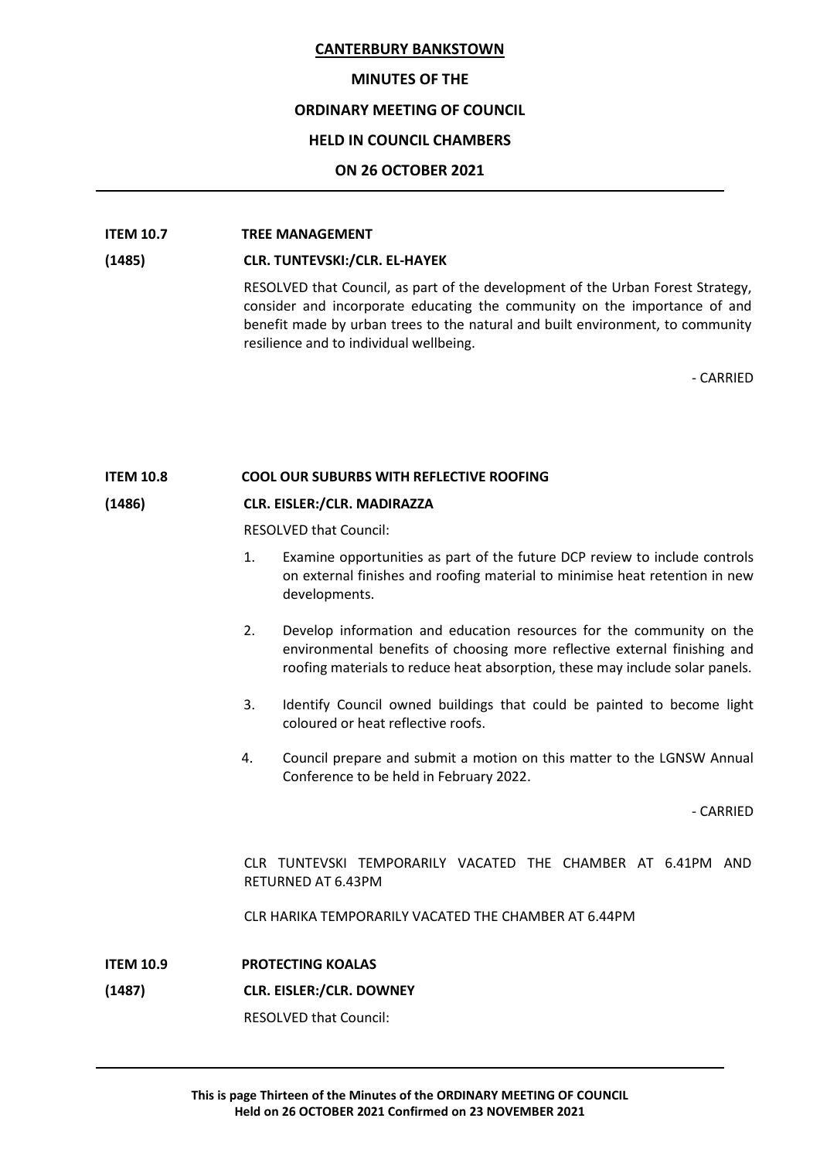#### **MINUTES OF THE**

#### **ORDINARY MEETING OF COUNCIL**

#### **HELD IN COUNCIL CHAMBERS**

#### **ON 26 OCTOBER 2021**

# **ITEM 10.7 TREE MANAGEMENT**

#### **(1485) CLR. TUNTEVSKI:/CLR. EL-HAYEK**

RESOLVED that Council, as part of the development of the Urban Forest Strategy, consider and incorporate educating the community on the importance of and benefit made by urban trees to the natural and built environment, to community resilience and to individual wellbeing.

- CARRIED

#### **ITEM 10.8 COOL OUR SUBURBS WITH REFLECTIVE ROOFING**

# **(1486) CLR. EISLER:/CLR. MADIRAZZA**

RESOLVED that Council:

- 1. Examine opportunities as part of the future DCP review to include controls on external finishes and roofing material to minimise heat retention in new developments.
- 2. Develop information and education resources for the community on the environmental benefits of choosing more reflective external finishing and roofing materials to reduce heat absorption, these may include solar panels.
- 3. Identify Council owned buildings that could be painted to become light coloured or heat reflective roofs.
- 4. Council prepare and submit a motion on this matter to the LGNSW Annual Conference to be held in February 2022.

- CARRIED

CLR TUNTEVSKI TEMPORARILY VACATED THE CHAMBER AT 6.41PM AND RETURNED AT 6.43PM

CLR HARIKA TEMPORARILY VACATED THE CHAMBER AT 6.44PM

- **ITEM 10.9 PROTECTING KOALAS**
- **(1487) CLR. EISLER:/CLR. DOWNEY**

RESOLVED that Council: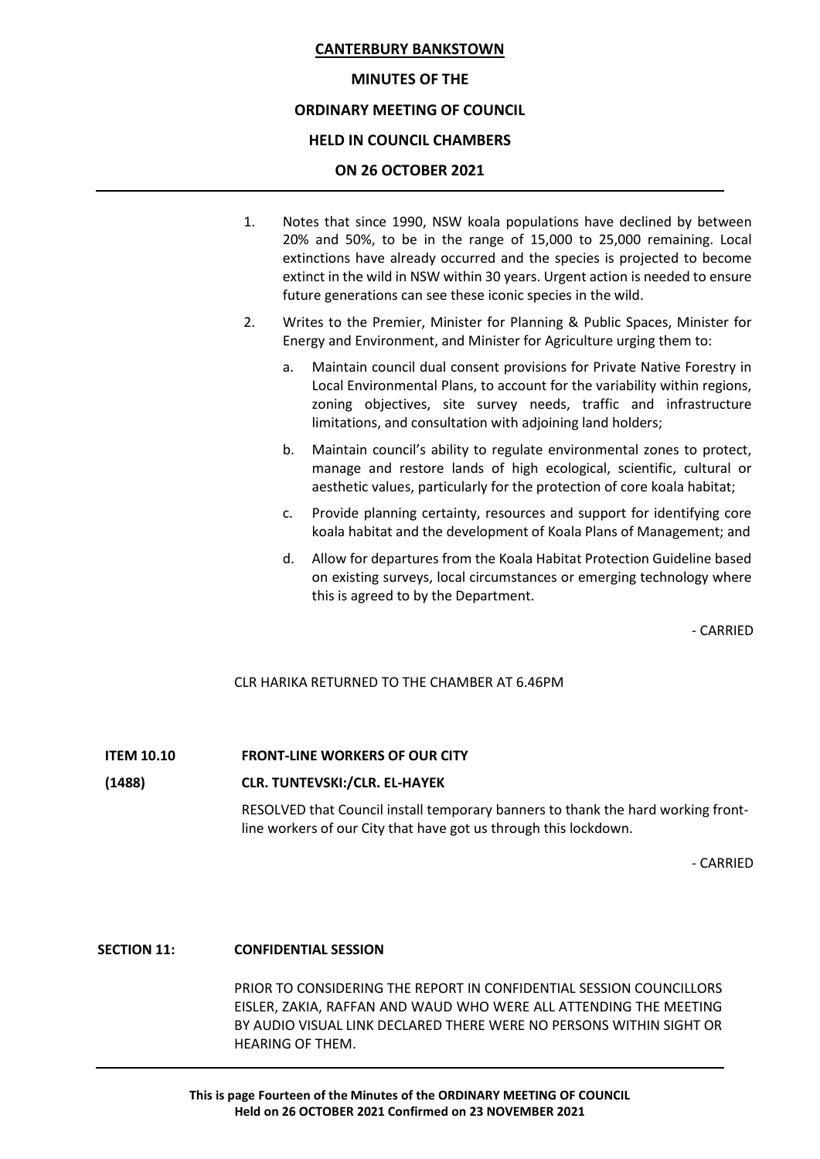#### **MINUTES OF THE**

#### **ORDINARY MEETING OF COUNCIL**

#### **HELD IN COUNCIL CHAMBERS**

#### **ON 26 OCTOBER 2021**

- 1. Notes that since 1990, NSW koala populations have declined by between 20% and 50%, to be in the range of 15,000 to 25,000 remaining. Local extinctions have already occurred and the species is projected to become extinct in the wild in NSW within 30 years. Urgent action is needed to ensure future generations can see these iconic species in the wild.
- 2. Writes to the Premier, Minister for Planning & Public Spaces, Minister for Energy and Environment, and Minister for Agriculture urging them to:
	- a. Maintain council dual consent provisions for Private Native Forestry in Local Environmental Plans, to account for the variability within regions, zoning objectives, site survey needs, traffic and infrastructure limitations, and consultation with adjoining land holders;
	- b. Maintain council's ability to regulate environmental zones to protect, manage and restore lands of high ecological, scientific, cultural or aesthetic values, particularly for the protection of core koala habitat;
	- c. Provide planning certainty, resources and support for identifying core koala habitat and the development of Koala Plans of Management; and
	- d. Allow for departures from the Koala Habitat Protection Guideline based on existing surveys, local circumstances or emerging technology where this is agreed to by the Department.

- CARRIED

CLR HARIKA RETURNED TO THE CHAMBER AT 6.46PM

#### **ITEM 10.10 FRONT-LINE WORKERS OF OUR CITY**

#### **(1488) CLR. TUNTEVSKI:/CLR. EL-HAYEK**

RESOLVED that Council install temporary banners to thank the hard working frontline workers of our City that have got us through this lockdown.

- CARRIED

#### **SECTION 11: CONFIDENTIAL SESSION**

PRIOR TO CONSIDERING THE REPORT IN CONFIDENTIAL SESSION COUNCILLORS EISLER, ZAKIA, RAFFAN AND WAUD WHO WERE ALL ATTENDING THE MEETING BY AUDIO VISUAL LINK DECLARED THERE WERE NO PERSONS WITHIN SIGHT OR HEARING OF THEM.